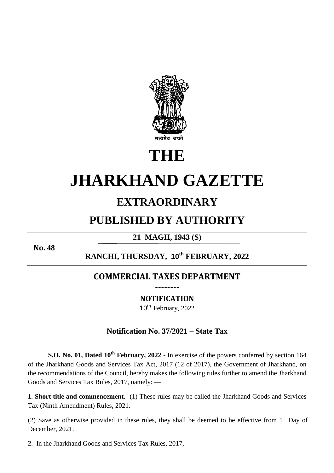

# **THE**

# **JHARKHAND GAZETTE**

# **EXTRAORDINARY**

# **PUBLISHED BY AUTHORITY**

**21 MAGH, 1943 (S)** 

**No. 48**

**RANCHI, THURSDAY, 10th FEBRUARY, 2022** 

### **COMMERCIAL TAXES DEPARTMENT --------**

**NOTIFICATION** 

10<sup>th</sup> February, 2022

## **Notification No. 37/2021 – State Tax**

**S.O. No. 01, Dated 10th February, 2022 -** In exercise of the powers conferred by section 164 of the Jharkhand Goods and Services Tax Act, 2017 (12 of 2017), the Government of Jharkhand, on the recommendations of the Council, hereby makes the following rules further to amend the Jharkhand Goods and Services Tax Rules, 2017, namely: —

**1**. **Short title and commencement**. -(1) These rules may be called the Jharkhand Goods and Services Tax (Ninth Amendment) Rules, 2021.

(2) Save as otherwise provided in these rules, they shall be deemed to be effective from  $1<sup>st</sup>$  Day of December, 2021.

**2**. In the Jharkhand Goods and Services Tax Rules, 2017, —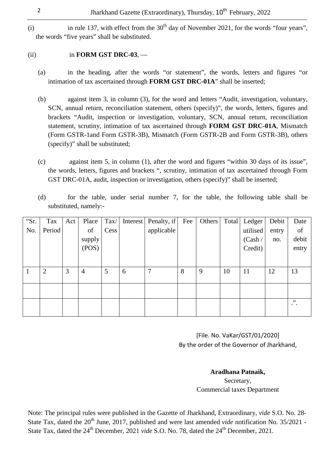(i) in rule 137, with effect from the  $30<sup>th</sup>$  day of November 2021, for the words "four years", the words "five years" shall be substituted.

#### (ii) in **FORM GST DRC-03**, —

- (a) in the heading, after the words "or statement", the words, letters and figures "or intimation of tax ascertained through **FORM GST DRC-01A**" shall be inserted;
- (b) against item 3, in column (3), for the word and letters "Audit, investigation, voluntary, SCN, annual return, reconciliation statement, others (specify)", the words, letters, figures and brackets "Audit, inspection or investigation, voluntary, SCN, annual return, reconciliation statement, scrutiny, intimation of tax ascertained through **FORM GST DRC-01A**, Mismatch (Form GSTR-1and Form GSTR-3B), Mismatch (Form GSTR-2B and Form GSTR-3B), others (specify)" shall be substituted;
- (c) against item 5, in column (1), after the word and figures "within 30 days of its issue", the words, letters, figures and brackets ", scrutiny, intimation of tax ascertained through Form GST DRC-01A, audit, inspection or investigation, others (specify)" shall be inserted;
- (d) for the table, under serial number 7, for the table, the following table shall be substituted, namely:-

| "Sr. | Tax    | Act | Place          | $\text{Tax}/$ |   | Interest Penalty, if | Fee | Others | Total | Ledger   | Debit | Date             |
|------|--------|-----|----------------|---------------|---|----------------------|-----|--------|-------|----------|-------|------------------|
| No.  | Period |     | of             | Cess          |   | applicable           |     |        |       | utilised | entry | of               |
|      |        |     | supply         |               |   |                      |     |        |       | (Cash /  | no.   | debit            |
|      |        |     | (POS)          |               |   |                      |     |        |       | Credit)  |       | entry            |
|      |        |     |                |               |   |                      |     |        |       |          |       |                  |
| 1    | 2      | 3   | $\overline{4}$ | 5             | 6 | 7                    | 8   | 9      | 10    | 11       | 12    | 13               |
|      |        |     |                |               |   |                      |     |        |       |          |       |                  |
|      |        |     |                |               |   |                      |     |        |       |          |       |                  |
|      |        |     |                |               |   |                      |     |        |       |          |       | , ,<br>$\cdot$ . |
|      |        |     |                |               |   |                      |     |        |       |          |       |                  |

[File. No. VaKar/GST/01/2020] By the order of the Governor of Jharkhand,

### **Aradhana Patnaik,**

Secretary, Commercial taxes Department

Note: The principal rules were published in the Gazette of Jharkhand, Extraordinary, *vide* S.O. No. 28- State Tax, dated the 20<sup>th</sup> June, 2017, published and were last amended *vide* notification No. 35/2021 -State Tax, dated the 24<sup>th</sup> December, 2021 *vide* S.O. No. 78, dated the 24<sup>th</sup> December, 2021.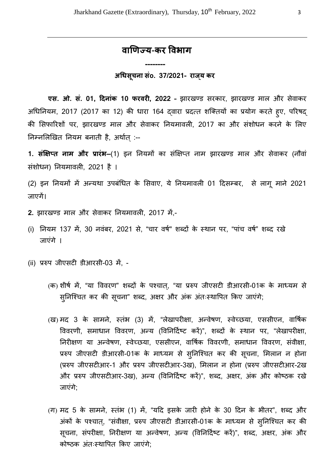## **वाणय**-**कर वभाग**

 **--------** 

#### **अधसूचना संo. 37/2021- राजय् कर**

**एस. ओ. सं. 01, दिनांक 10 फरवरी, 2022 -** झारखण्ड सरकार, झारखण्ड माल और सेवाकर अधिनियम, 2017 (2017 का 12) की धारा 164 दवारा प्रदत्त शक्तियों का प्रयोग करते हूए, परिषद् की सिफारिशों पर, झारखण्ड माल और सेवाकर नियमावली, 2017 का और संशोधन करने के लिए निम्नलिखित नियम बनाती है, अर्थात् :--

1. **संक्षिप्त नाम और प्रारंभ–**(1) इन नियमों का संक्षिप्त नाम झारखण्ड माल और सेवाकर (नौवां संशोधन) नियमावली. 2021 है ।

(2) इन नियमों में अन्यथा उपबंधित के सिवाए, ये नियमावली 01 दिसम्बर, से लागू माने 2021 जाएगें।

- 2. झारखण्ड माल और सेवाकर नियमावली, 2017 में,-
- (i) नियम 137 में, 30 नवंबर, 2021 से, "चार वर्ष" शब्दों के स्थान पर, "पांच वर्ष" शब्द रखे जाएंगे ।
- (ii) प्ररुप जीएसटी डीआरसी-03 में, -
	- (क) शीर्ष में, "या विवरण" शब्दों के पश्चात्, "या प्ररुप जीएसटी डीआरसी-01क के माध्यम से सुनिश्चित कर की सूचना" शब्द, अक्षर और अंक अंतःस्थापित किए जाएंगे;
	- (ख) मद 3 के सामने, स्तंभ (3) में, "लेखापरीक्षा, अन्वेषण, स्वेच्छया, एससीएन, वार्षिक विवरणी, समाधान विवरण, अन्य (विनिर्दिष्ट करें)", शब्दों के स्थान पर, "लेखापरीक्षा, निरीक्षण या अन्वेषण, स्वेच्छया, एससीएन, वार्षिक विवरणी, समाधान विवरण, संवीक्षा, प्ररुप जीएसटी डीआरसी-01क के माध्यम से सुनिश्चित कर की सूचना, मिलान न होना (प्ररुप जीएसटीआर-1 और प्ररुप जीएसटीआर-3ख), मिलान न होना (प्ररुप जीएसटीआर-2ख और प्ररुप जीएसटीआर-3ख), अन्य (विनिर्दिष्ट करें)", शब्द, अक्षर, अंक और कोष्ठक रखे जाएंगे;
	- (ग) मद 5 के सामने, स्तंभ (1) में, "यदि इसके जारी होने के 30 दिन के भीतर", शब्द और अंकों के पश्चात, "संवीक्षा, प्ररुप जीएसटी डीआरसी-01क के माध्यम से सनिश्चित कर की सूचना, संपरीक्षा, निरीक्षण या अन्वेषण, अन्य (विनिर्दिष्ट करें)", शब्द, अक्षर, अंक और कोष्ठक अंतःस्थापित किए जाएंगे;